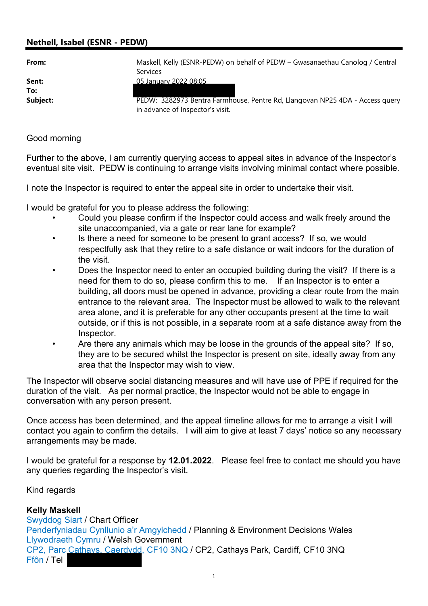## Nethell, Isabel (ESNR - PEDW)

| ×<br>۰.<br>×<br>۰. |  |
|--------------------|--|

| From:    | Maskell, Kelly (ESNR-PEDW) on behalf of PEDW - Gwasanaethau Canolog / Central                                    |
|----------|------------------------------------------------------------------------------------------------------------------|
|          | <b>Services</b>                                                                                                  |
| Sent:    | 05 January 2022 08:05                                                                                            |
| To:      |                                                                                                                  |
| Subject: | PEDW: 3282973 Bentra Farmhouse, Pentre Rd, Llangovan NP25 4DA - Access query<br>in advance of Inspector's visit. |

## Good morning

Further to the above, I am currently querying access to appeal sites in advance of the Inspector's eventual site visit. PEDW is continuing to arrange visits involving minimal contact where possible.

I note the Inspector is required to enter the appeal site in order to undertake their visit.

I would be grateful for you to please address the following:

- Could you please confirm if the Inspector could access and walk freely around the site unaccompanied, via a gate or rear lane for example?
- Is there a need for someone to be present to grant access? If so, we would respectfully ask that they retire to a safe distance or wait indoors for the duration of the visit.
- Does the Inspector need to enter an occupied building during the visit? If there is a need for them to do so, please confirm this to me. If an Inspector is to enter a building, all doors must be opened in advance, providing a clear route from the main entrance to the relevant area. The Inspector must be allowed to walk to the relevant area alone, and it is preferable for any other occupants present at the time to wait outside, or if this is not possible, in a separate room at a safe distance away from the Inspector.
- Are there any animals which may be loose in the grounds of the appeal site? If so, they are to be secured whilst the Inspector is present on site, ideally away from any area that the Inspector may wish to view.

The Inspector will observe social distancing measures and will have use of PPE if required for the duration of the visit. As per normal practice, the Inspector would not be able to engage in conversation with any person present.

Once access has been determined, and the appeal timeline allows for me to arrange a visit I will contact you again to confirm the details. I will aim to give at least 7 days' notice so any necessary arrangements may be made.

I would be grateful for a response by 12.01.2022. Please feel free to contact me should you have any queries regarding the Inspector's visit.

Kind regards

## Kelly Maskell

Swyddog Siart / Chart Officer Penderfyniadau Cynllunio a'r Amgylchedd / Planning & Environment Decisions Wales Llywodraeth Cymru / Welsh Government CP2, Parc Cathays, Caerdydd, CF10 3NQ / CP2, Cathays Park, Cardiff, CF10 3NQ Ffôn / Tel